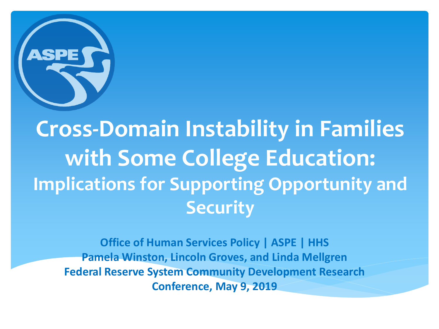

**Cross-Domain Instability in Families with Some College Education: Implications for Supporting Opportunity and Security**

**Office of Human Services Policy | ASPE | HHS Pamela Winston, Lincoln Groves, and Linda Mellgren Federal Reserve System Community Development Research Conference, May 9, 2019**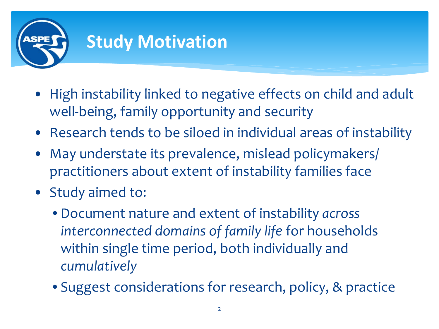

- High instability linked to negative effects on child and adult well-being, family opportunity and security
- Research tends to be siloed in individual areas of instability
- May understate its prevalence, mislead policymakers/ practitioners about extent of instability families face
- Study aimed to:
	- Document nature and extent of instability *across interconnected domains of family life* for households within single time period, both individually and *cumulatively*
	- Suggest considerations for research, policy, & practice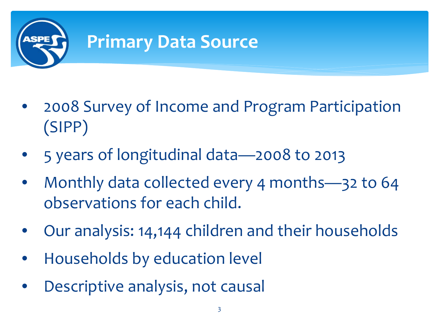

- 2008 Survey of Income and Program Participation (SIPP)
- 5 years of longitudinal data—2008 to 2013
- Monthly data collected every 4 months—32 to 64 observations for each child.
- Our analysis: 14,144 children and their households
- Households by education level
- Descriptive analysis, not causal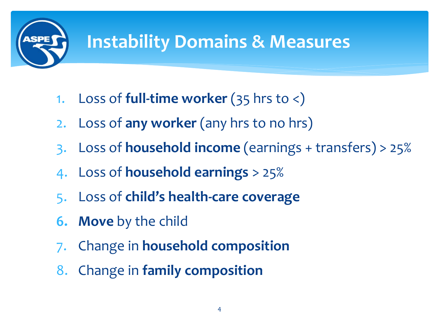

### **Instability Domains & Measures**

- 1. Loss of **full-time worker** (35 hrs to <)
- 2. Loss of **any worker** (any hrs to no hrs)
- 3. Loss of **household income** (earnings + transfers) > 25%
- 4. Loss of **household earnings** > 25%
- 5. Loss of **child's health-care coverage**
- **6. Move** by the child
- 7. Change in **household composition**
- 8. Change in **family composition**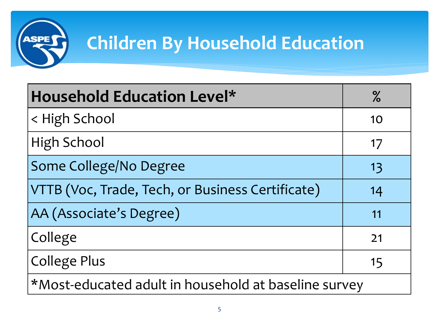

## **Children By Household Education**

| <b>Household Education Level*</b>                    | $\%$ |
|------------------------------------------------------|------|
| < High School                                        | 10   |
| <b>High School</b>                                   | 17   |
| Some College/No Degree                               | 13   |
| VTTB (Voc, Trade, Tech, or Business Certificate)     | 14   |
| AA (Associate's Degree)                              | 11   |
| College                                              | 21   |
| <b>College Plus</b>                                  | 15   |
| *Most-educated adult in household at baseline survey |      |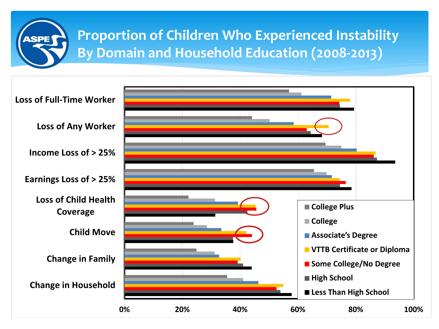

#### **Proportion of Children Who Experienced Instability By Domain and Household Education (2008-2013)**

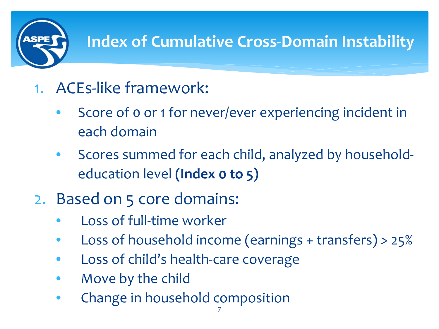

#### **Index of Cumulative Cross-Domain Instability**

- 1. ACEs-like framework:
	- Score of 0 or 1 for never/ever experiencing incident in each domain
	- Scores summed for each child, analyzed by householdeducation level **(Index 0 to 5)**
- 2. Based on 5 core domains:
	- Loss of full-time worker
	- Loss of household income (earnings + transfers) > 25%
	- Loss of child's health-care coverage
	- Move by the child
	- Change in household composition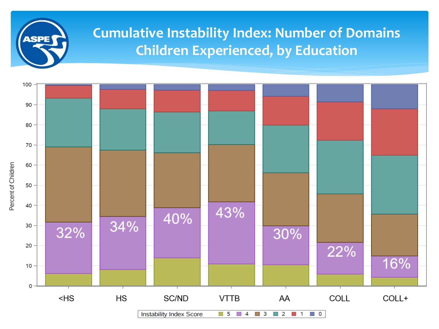# **ASPE**

#### **Cumulative Instability Index: Number of Domains Children Experienced, by Education**

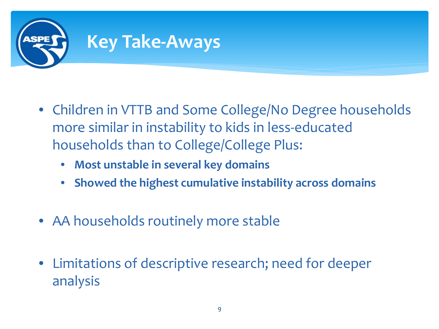

- Children in VTTB and Some College/No Degree households more similar in instability to kids in less-educated households than to College/College Plus:
	- **Most unstable in several key domains**
	- **Showed the highest cumulative instability across domains**
- AA households routinely more stable
- Limitations of descriptive research; need for deeper analysis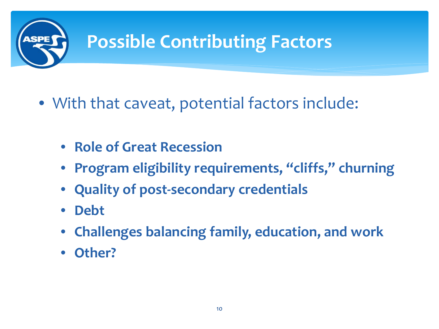

- With that caveat, potential factors include:
	- **Role of Great Recession**
	- **Program eligibility requirements, "cliffs," churning**
	- **Quality of post-secondary credentials**
	- **Debt**
	- **Challenges balancing family, education, and work**
	- **Other?**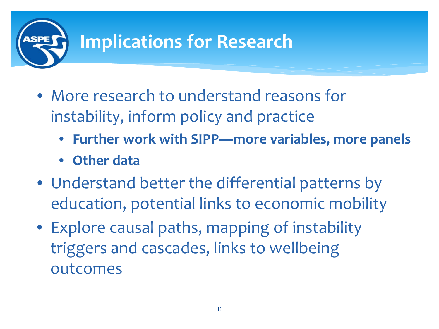

- More research to understand reasons for instability, inform policy and practice
	- **Further work with SIPP—more variables, more panels**
	- **Other data**
- Understand better the differential patterns by education, potential links to economic mobility
- Explore causal paths, mapping of instability triggers and cascades, links to wellbeing outcomes